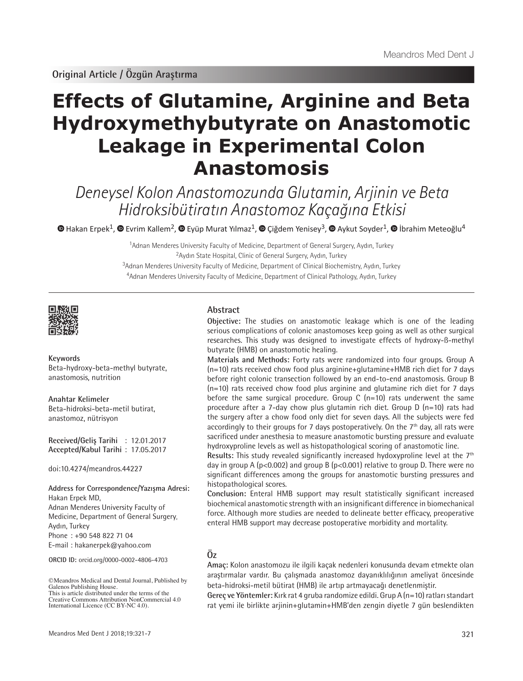# **Effects of Glutamine, Arginine and Beta Hydroxymethybutyrate on Anastomotic Leakage in Experimental Colon Anastomosis**

Deneysel Kolon Anastomozunda Glutamin, Arjinin ve Beta Hidroksibütiratın Anastomoz Kaçağına Etkisi

 $\bullet$ Hakan Erpek<sup>1</sup>,  $\bullet$  Evrim Kallem<sup>2</sup>,  $\bullet$  Eyüp Murat Yılmaz<sup>1</sup>,  $\bullet$  Çiğdem Yenisey<sup>3</sup>,  $\bullet$  Aykut Soyder<sup>1</sup>,  $\bullet$  İbrahim Meteoğlu<sup>4</sup>

Adnan Menderes University Faculty of Medicine, Department of General Surgery, Aydın, Turkey Aydın State Hospital, Clinic of General Surgery, Aydın, Turkey <sup>3</sup>Adnan Menderes University Faculty of Medicine, Department of Clinical Biochemistry, Aydın, Turkey Adnan Menderes University Faculty of Medicine, Department of Clinical Pathology, Aydın, Turkey



**Keywords** Beta-hydroxy-beta-methyl butyrate, anastomosis, nutrition

**Anahtar Kelimeler** Beta-hidroksi-beta-metil butirat, anastomoz, nütrisyon

**Received/Geliş Tarihi** : 12.01.2017 **Accepted/Kabul Tarihi** : 17.05.2017

doi:10.4274/meandros.44227

#### **Address for Correspondence/Yazışma Adresi:** Hakan Erpek MD,

Adnan Menderes University Faculty of Medicine, Department of General Surgery, Aydın, Turkey Phone : +90 548 822 71 04

E-mail : hakanerpek@yahoo.com

**ORCID ID:** orcid.org/0000-0002-4806-4703

©Meandros Medical and Dental Journal, Published by Galenos Publishing House. This is article distributed under the terms of the

### **Abstract**

**Objective:** The studies on anastomotic leakage which is one of the leading serious complications of colonic anastomoses keep going as well as other surgical researches. This study was designed to investigate effects of hydroxy-ß-methyl butyrate (HMB) on anastomotic healing.

**Materials and Methods:** Forty rats were randomized into four groups. Group A  $(n=10)$  rats received chow food plus arginine+glutamine+HMB rich diet for 7 days before right colonic transection followed by an end-to-end anastomosis. Group B  $(n=10)$  rats received chow food plus arginine and glutamine rich diet for 7 days before the same surgical procedure. Group C (n=10) rats underwent the same procedure after a 7-day chow plus glutamin rich diet. Group D (n=10) rats had the surgery after a chow food only diet for seven days. All the subjects were fed accordingly to their groups for 7 days postoperatively. On the  $7<sup>th</sup>$  day, all rats were sacrificed under anesthesia to measure anastomotic bursting pressure and evaluate hydroxyproline levels as well as histopathological scoring of anastomotic line.

Results: This study revealed significantly increased hydoxyproline level at the 7<sup>th</sup> day in group A ( $p<0.002$ ) and group B ( $p<0.001$ ) relative to group D. There were no significant differences among the groups for anastomotic bursting pressures and histopathological scores.

**Conclusion:** Enteral HMB support may result statistically significant increased biochemical anastomotic strength with an insignificant difference in biomechanical force. Although more studies are needed to delineate better efficacy, preoperative enteral HMB support may decrease postoperative morbidity and mortality.

# **Öz**

**Amaç:** Kolon anastomozu ile ilgili kaçak nedenleri konusunda devam etmekte olan araştırmalar vardır. Bu çalışmada anastomoz dayanıklılığının ameliyat öncesinde beta-hidroksi-metil bütirat (HMB) ile artıp artmayacağı denetlenmiştir.

**Gereç ve Yöntemler:** Kırk rat 4 gruba randomize edildi. Grup A (n=10) ratları standart rat yemi ile birlikte arjinin+glutamin+HMB'den zengin diyetle 7 gün beslendikten

Creative Commons Attribution NonCommercial 4.0 International Licence (CC BY-NC 4.0).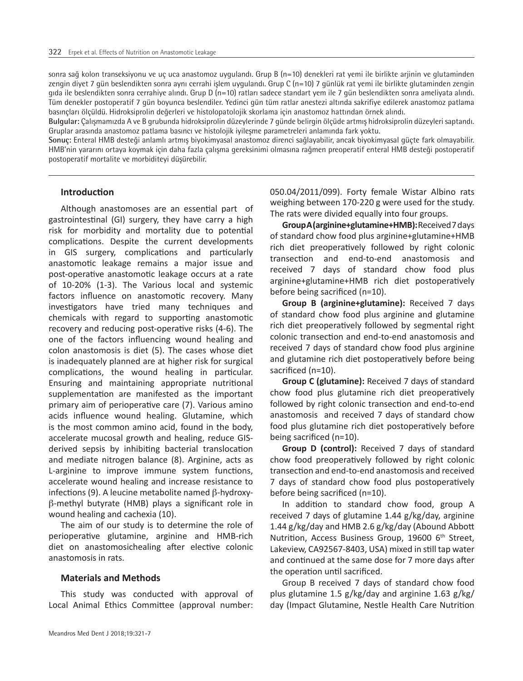sonra sağ kolon transeksiyonu ve uç uca anastomoz uygulandı. Grup B (n=10) denekleri rat yemi ile birlikte arjinin ve glutaminden zengin diyet 7 gün beslendikten sonra aynı cerrahi işlem uygulandı. Grup C (n=10) 7 günlük rat yemi ile birlikte glutaminden zengin gıda ile beslendikten sonra cerrahiye alındı. Grup D (n=10) ratları sadece standart yem ile 7 gün beslendikten sonra ameliyata alındı. Tüm denekler postoperatif 7 gün boyunca beslendiler. Yedinci gün tüm ratlar anestezi altında sakrifiye edilerek anastomoz patlama basınçları ölçüldü. Hidroksiprolin değerleri ve histolopatolojik skorlama için anastomoz hattından örnek alındı.

**Bulgular:** Çalışmamızda A ve B grubunda hidroksiprolin düzeylerinde 7 günde belirgin ölçüde artmış hidroksiprolin düzeyleri saptandı. Gruplar arasında anastomoz patlama basıncı ve histolojik iyileşme parametreleri anlamında fark yoktu.

**Sonuç:** Enteral HMB desteği anlamlı artmış biyokimyasal anastomoz direnci sağlayabilir, ancak biyokimyasal güçte fark olmayabilir. HMB'nin yararını ortaya koymak için daha fazla çalışma gereksinimi olmasına rağmen preoperatif enteral HMB desteği postoperatif postoperatif mortalite ve morbiditeyi düşürebilir.

## **Introduction**

Although anastomoses are an essential part of gastrointestinal (GI) surgery, they have carry a high risk for morbidity and mortality due to potential complications. Despite the current developments in GIS surgery, complications and particularly anastomotic leakage remains a major issue and post-operative anastomotic leakage occurs at a rate of 10-20% (1-3). The Various local and systemic factors influence on anastomotic recovery. Many investigators have tried many techniques and chemicals with regard to supporting anastomotic recovery and reducing post-operative risks (4-6). The one of the factors influencing wound healing and colon anastomosis is diet (5). The cases whose diet is inadequately planned are at higher risk for surgical complications, the wound healing in particular. Ensuring and maintaining appropriate nutritional supplementation are manifested as the important primary aim of perioperative care (7). Various amino acids influence wound healing. Glutamine, which is the most common amino acid, found in the body, accelerate mucosal growth and healing, reduce GISderived sepsis by inhibiting bacterial translocation and mediate nitrogen balance (8). Arginine, acts as L-arginine to improve immune system functions, accelerate wound healing and increase resistance to infections (9). A leucine metabolite named β-hydroxyβ-methyl butyrate (HMB) plays a significant role in wound healing and cachexia (10).

The aim of our study is to determine the role of perioperative glutamine, arginine and HMB-rich diet on anastomosichealing after elective colonic anastomosis in rats.

#### **Materials and Methods**

This study was conducted with approval of Local Animal Ethics Committee (approval number:

050.04/2011/099). Forty female Wistar Albino rats weighing between 170-220 g were used for the study. The rats were divided equally into four groups.

**Group A (arginine+glutamine+HMB):**Received 7 days of standard chow food plus arginine+glutamine+HMB rich diet preoperatively followed by right colonic transection and end-to-end anastomosis and received 7 days of standard chow food plus arginine+glutamine+HMB rich diet postoperatively before being sacrificed (n=10).

**Group B (arginine+glutamine):** Received 7 days of standard chow food plus arginine and glutamine rich diet preoperatively followed by segmental right colonic transection and end-to-end anastomosis and received 7 days of standard chow food plus arginine and glutamine rich diet postoperatively before being sacrificed (n=10).

**Group C (glutamine):** Received 7 days of standard chow food plus glutamine rich diet preoperatively followed by right colonic transection and end-to-end anastomosis and received 7 days of standard chow food plus glutamine rich diet postoperatively before being sacrificed (n=10).

**Group D (control):** Received 7 days of standard chow food preoperatively followed by right colonic transection and end-to-end anastomosis and received 7 days of standard chow food plus postoperatively before being sacrificed (n=10).

In addition to standard chow food, group A received 7 days of glutamine 1.44 g/kg/day, arginine 1.44 g/kg/day and HMB 2.6 g/kg/day (Abound Abbott Nutrition, Access Business Group, 19600 6<sup>th</sup> Street, Lakeview, CA92567-8403, USA) mixed in still tap water and continued at the same dose for 7 more days after the operation until sacrificed.

Group B received 7 days of standard chow food plus glutamine 1.5 g/kg/day and arginine 1.63 g/kg/ day (Impact Glutamine, Nestle Health Care Nutrition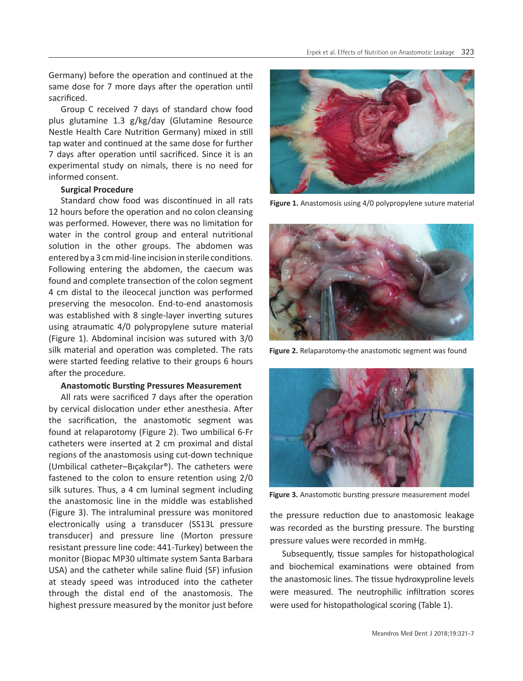Germany) before the operation and continued at the same dose for 7 more days after the operation until sacrificed.

Group C received 7 days of standard chow food plus glutamine 1.3 g/kg/day (Glutamine Resource Nestle Health Care Nutrition Germany) mixed in still tap water and continued at the same dose for further 7 days after operation until sacrificed. Since it is an experimental study on nimals, there is no need for informed consent.

#### **Surgical Procedure**

Standard chow food was discontinued in all rats 12 hours before the operation and no colon cleansing was performed. However, there was no limitation for water in the control group and enteral nutritional solution in the other groups. The abdomen was entered by a 3 cm mid-line incision in sterile conditions. Following entering the abdomen, the caecum was found and complete transection of the colon segment 4 cm distal to the ileocecal junction was performed preserving the mesocolon. End-to-end anastomosis was established with 8 single-layer inverting sutures using atraumatic 4/0 polypropylene suture material (Figure 1). Abdominal incision was sutured with 3/0 silk material and operation was completed. The rats were started feeding relative to their groups 6 hours after the procedure.

#### **Anastomotic Bursting Pressures Measurement**

All rats were sacrificed 7 days after the operation by cervical dislocation under ether anesthesia. After the sacrification, the anastomotic segment was found at relaparotomy (Figure 2). Two umbilical 6-Fr catheters were inserted at 2 cm proximal and distal regions of the anastomosis using cut-down technique (Umbilical catheter–Bıçakçılar®). The catheters were fastened to the colon to ensure retention using 2/0 silk sutures. Thus, a 4 cm luminal segment including the anastomosic line in the middle was established (Figure 3). The intraluminal pressure was monitored electronically using a transducer (SS13L pressure transducer) and pressure line (Morton pressure resistant pressure line code: 441-Turkey) between the monitor (Biopac MP30 ultimate system Santa Barbara USA) and the catheter while saline fluid (SF) infusion at steady speed was introduced into the catheter through the distal end of the anastomosis. The highest pressure measured by the monitor just before



**Figure 1.** Anastomosis using 4/0 polypropylene suture material



**Figure 2.** Relaparotomy-the anastomotic segment was found



**Figure 3.** Anastomotic bursting pressure measurement model

the pressure reduction due to anastomosic leakage was recorded as the bursting pressure. The bursting pressure values were recorded in mmHg.

Subsequently, tissue samples for histopathological and biochemical examinations were obtained from the anastomosic lines. The tissue hydroxyproline levels were measured. The neutrophilic infiltration scores were used for histopathological scoring (Table 1).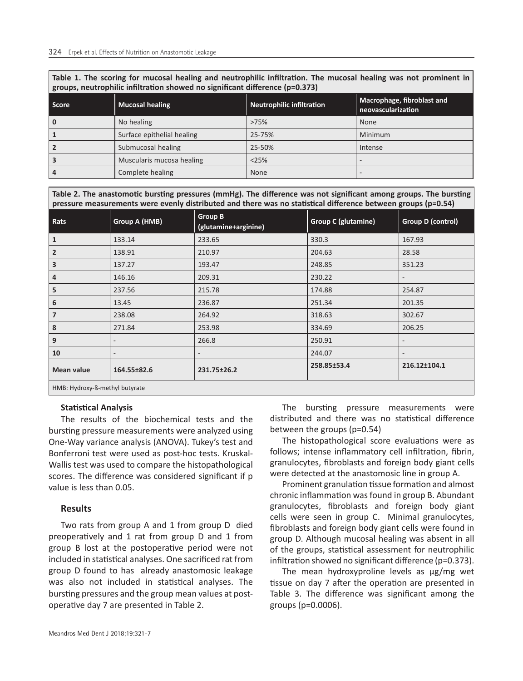**Table 1. The scoring for mucosal healing and neutrophilic infiltration. The mucosal healing was not prominent in groups, neutrophilic infiltration showed no significant difference (p=0.373)**

| <b>Score</b>            | <b>Mucosal healing</b>     | Neutrophilic infiltration | Macrophage, fibroblast and<br>neovascularization |
|-------------------------|----------------------------|---------------------------|--------------------------------------------------|
| 0                       | No healing                 | >75%                      | None                                             |
| 1                       | Surface epithelial healing | 25-75%                    | Minimum                                          |
| $\overline{2}$          | Submucosal healing         | 25-50%                    | Intense                                          |
| $\overline{\mathbf{3}}$ | Muscularis mucosa healing  | <25%                      |                                                  |
| $\overline{4}$          | Complete healing           | None                      |                                                  |

**Table 2. The anastomotic bursting pressures (mmHg). The difference was not significant among groups. The bursting pressure measurements were evenly distributed and there was no statistical difference between groups (p=0.54)**

| Rats                           | Group A (HMB) | <b>Group B</b><br>(glutamine+arginine) | <b>Group C (glutamine)</b> | Group D (control)        |  |  |
|--------------------------------|---------------|----------------------------------------|----------------------------|--------------------------|--|--|
| $\mathbf{1}$                   | 133.14        | 233.65                                 | 330.3                      | 167.93                   |  |  |
| $\overline{2}$                 | 138.91        | 210.97                                 | 204.63                     | 28.58                    |  |  |
| $\overline{\mathbf{3}}$        | 137.27        | 193.47                                 | 248.85                     | 351.23                   |  |  |
| 4                              | 146.16        | 209.31                                 | 230.22                     |                          |  |  |
| 5                              | 237.56        | 215.78                                 | 174.88                     | 254.87                   |  |  |
| 6                              | 13.45         | 236.87                                 | 251.34                     | 201.35                   |  |  |
| $\overline{7}$                 | 238.08        | 264.92                                 | 318.63                     | 302.67                   |  |  |
| 8                              | 271.84        | 253.98                                 | 334.69                     | 206.25                   |  |  |
| 9                              |               | 266.8                                  | 250.91                     | $\overline{\phantom{a}}$ |  |  |
| 10                             |               |                                        | 244.07                     | $\overline{\phantom{a}}$ |  |  |
| <b>Mean value</b>              | 164.55±82.6   | 231.75±26.2                            | 258.85±53.4                | 216.12±104.1             |  |  |
| HMB: Hydroxy-ß-methyl butyrate |               |                                        |                            |                          |  |  |

#### **Statistical Analysis**

The results of the biochemical tests and the bursting pressure measurements were analyzed using One-Way variance analysis (ANOVA). Tukey's test and Bonferroni test were used as post-hoc tests. Kruskal-Wallis test was used to compare the histopathological scores. The difference was considered significant if p value is less than 0.05.

## **Results**

Two rats from group A and 1 from group D died preoperatively and 1 rat from group D and 1 from group B lost at the postoperative period were not included in statistical analyses. One sacrificed rat from group D found to has already anastomosic leakage was also not included in statistical analyses. The bursting pressures and the group mean values at postoperative day 7 are presented in Table 2.

The bursting pressure measurements were distributed and there was no statistical difference between the groups (p=0.54)

The histopathological score evaluations were as follows; intense inflammatory cell infiltration, fibrin, granulocytes, fibroblasts and foreign body giant cells were detected at the anastomosic line in group A.

Prominent granulation tissue formation and almost chronic inflammation was found in group B. Abundant granulocytes, fibroblasts and foreign body giant cells were seen in group C. Minimal granulocytes, fibroblasts and foreign body giant cells were found in group D. Although mucosal healing was absent in all of the groups, statistical assessment for neutrophilic infiltration showed no significant difference (p=0.373).

The mean hydroxyproline levels as μg/mg wet tissue on day 7 after the operation are presented in Table 3. The difference was significant among the groups (p=0.0006).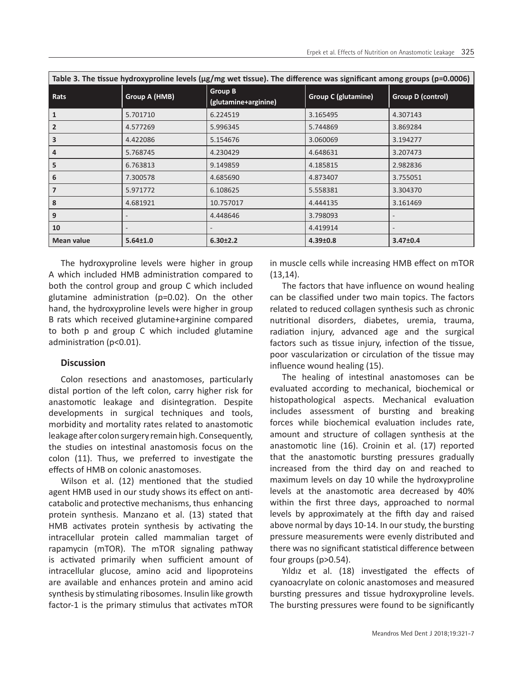| Table 3. The tissue hydroxyproline levels (µg/mg wet tissue). The difference was significant among groups (p=0.0006) |                |                                        |                            |                   |  |  |  |
|----------------------------------------------------------------------------------------------------------------------|----------------|----------------------------------------|----------------------------|-------------------|--|--|--|
| Rats                                                                                                                 | Group A (HMB)  | <b>Group B</b><br>(glutamine+arginine) | <b>Group C (glutamine)</b> | Group D (control) |  |  |  |
| $\mathbf{1}$                                                                                                         | 5.701710       | 6.224519                               | 3.165495                   | 4.307143          |  |  |  |
| $\overline{2}$                                                                                                       | 4.577269       | 5.996345                               | 5.744869                   | 3.869284          |  |  |  |
| 3                                                                                                                    | 4.422086       | 5.154676                               | 3.060069                   | 3.194277          |  |  |  |
| $\overline{4}$                                                                                                       | 5.768745       | 4.230429                               | 4.648631                   | 3.207473          |  |  |  |
| 5                                                                                                                    | 6.763813       | 9.149859                               | 4.185815                   | 2.982836          |  |  |  |
| 6                                                                                                                    | 7.300578       | 4.685690                               | 4.873407                   | 3.755051          |  |  |  |
| $\overline{7}$                                                                                                       | 5.971772       | 6.108625                               | 5.558381                   | 3.304370          |  |  |  |
| 8                                                                                                                    | 4.681921       | 10.757017                              | 4.444135                   | 3.161469          |  |  |  |
| 9                                                                                                                    |                | 4.448646                               | 3.798093                   |                   |  |  |  |
| 10                                                                                                                   |                |                                        | 4.419914                   |                   |  |  |  |
| Mean value                                                                                                           | $5.64 \pm 1.0$ | $6.30 \pm 2.2$                         | $4.39 \pm 0.8$             | $3.47 \pm 0.4$    |  |  |  |

The hydroxyproline levels were higher in group A which included HMB administration compared to both the control group and group C which included glutamine administration (p=0.02). On the other hand, the hydroxyproline levels were higher in group B rats which received glutamine+arginine compared to both p and group C which included glutamine administration (p<0.01).

## **Discussion**

Colon resections and anastomoses, particularly distal portion of the left colon, carry higher risk for anastomotic leakage and disintegration. Despite developments in surgical techniques and tools, morbidity and mortality rates related to anastomotic leakage after colon surgery remain high. Consequently, the studies on intestinal anastomosis focus on the colon (11). Thus, we preferred to investigate the effects of HMB on colonic anastomoses.

Wilson et al. (12) mentioned that the studied agent HMB used in our study shows its effect on anticatabolic and protective mechanisms, thus enhancing protein synthesis. Manzano et al. (13) stated that HMB activates protein synthesis by activating the intracellular protein called mammalian target of rapamycin (mTOR). The mTOR signaling pathway is activated primarily when sufficient amount of intracellular glucose, amino acid and lipoproteins are available and enhances protein and amino acid synthesis by stimulating ribosomes. Insulin like growth factor-1 is the primary stimulus that activates mTOR

in muscle cells while increasing HMB effect on mTOR (13,14).

The factors that have influence on wound healing can be classified under two main topics. The factors related to reduced collagen synthesis such as chronic nutritional disorders, diabetes, uremia, trauma, radiation injury, advanced age and the surgical factors such as tissue injury, infection of the tissue, poor vascularization or circulation of the tissue may influence wound healing (15).

The healing of intestinal anastomoses can be evaluated according to mechanical, biochemical or histopathological aspects. Mechanical evaluation includes assessment of bursting and breaking forces while biochemical evaluation includes rate, amount and structure of collagen synthesis at the anastomotic line (16). Croinin et al. (17) reported that the anastomotic bursting pressures gradually increased from the third day on and reached to maximum levels on day 10 while the hydroxyproline levels at the anastomotic area decreased by 40% within the first three days, approached to normal levels by approximately at the fifth day and raised above normal by days 10-14. In our study, the bursting pressure measurements were evenly distributed and there was no significant statistical difference between four groups (p>0.54).

Yıldız et al. (18) investigated the effects of cyanoacrylate on colonic anastomoses and measured bursting pressures and tissue hydroxyproline levels. The bursting pressures were found to be significantly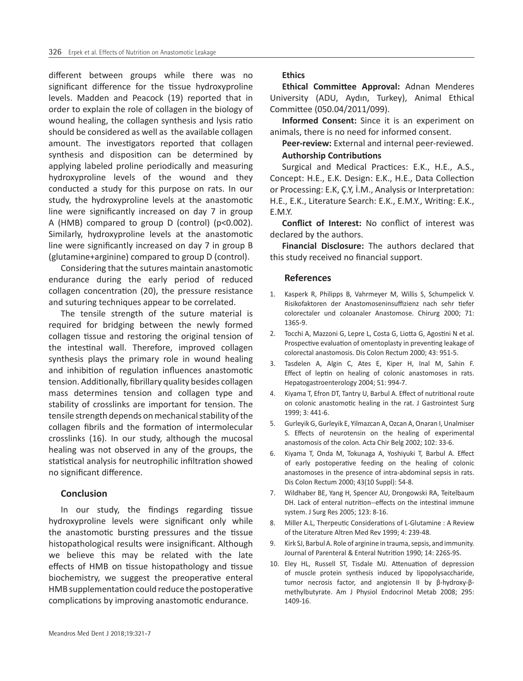different between groups while there was no significant difference for the tissue hydroxyproline levels. Madden and Peacock (19) reported that in order to explain the role of collagen in the biology of wound healing, the collagen synthesis and lysis ratio should be considered as well as the available collagen amount. The investigators reported that collagen synthesis and disposition can be determined by applying labeled proline periodically and measuring hydroxyproline levels of the wound and they conducted a study for this purpose on rats. In our study, the hydroxyproline levels at the anastomotic line were significantly increased on day 7 in group A (HMB) compared to group D (control) (p<0.002). Similarly, hydroxyproline levels at the anastomotic line were significantly increased on day 7 in group B (glutamine+arginine) compared to group D (control).

Considering that the sutures maintain anastomotic endurance during the early period of reduced collagen concentration (20), the pressure resistance and suturing techniques appear to be correlated.

The tensile strength of the suture material is required for bridging between the newly formed collagen tissue and restoring the original tension of the intestinal wall. Therefore, improved collagen synthesis plays the primary role in wound healing and inhibition of regulation influences anastomotic tension. Additionally, fibrillary quality besides collagen mass determines tension and collagen type and stability of crosslinks are important for tension. The tensile strength depends on mechanical stability of the collagen fibrils and the formation of intermolecular crosslinks (16). In our study, although the mucosal healing was not observed in any of the groups, the statistical analysis for neutrophilic infiltration showed no significant difference.

#### **Conclusion**

In our study, the findings regarding tissue hydroxyproline levels were significant only while the anastomotic bursting pressures and the tissue histopathological results were insignificant. Although we believe this may be related with the late effects of HMB on tissue histopathology and tissue biochemistry, we suggest the preoperative enteral HMB supplementation could reduce the postoperative complications by improving anastomotic endurance.

#### **Ethics**

**Ethical Committee Approval:** Adnan Menderes University (ADU, Aydın, Turkey), Animal Ethical Committee (050.04/2011/099).

**Informed Consent:** Since it is an experiment on animals, there is no need for informed consent.

**Peer-review:** External and internal peer-reviewed.

# **Authorship Contributions**

Surgical and Medical Practices: E.K., H.E., A.S., Concept: H.E., E.K. Design: E.K., H.E., Data Collection or Processing: E.K, Ç.Y, İ.M., Analysis or Interpretation: H.E., E.K., Literature Search: E.K., E.M.Y., Writing: E.K., E.M.Y.

**Conflict of Interest:** No conflict of interest was declared by the authors.

**Financial Disclosure:** The authors declared that this study received no financial support.

#### **References**

- 1. Kasperk R, Philipps B, Vahrmeyer M, Willis S, Schumpelick V. Risikofaktoren der Anastomoseninsuffizienz nach sehr tiefer colorectaler und coloanaler Anastomose. Chirurg 2000; 71: 1365-9.
- 2. Tocchi A, Mazzoni G, Lepre L, Costa G, Liotta G, Agostini N et al. Prospective evaluation of omentoplasty in preventing leakage of colorectal anastomosis. Dis Colon Rectum 2000; 43: 951-5.
- 3. Tasdelen A, Algin C, Ates E, Kiper H, Inal M, Sahin F. Effect of leptin on healing of colonic anastomoses in rats. Hepatogastroenterology 2004; 51: 994-7.
- 4. Kiyama T, Efron DT, Tantry U, Barbul A. Effect of nutritional route on colonic anastomotic healing in the rat. J Gastrointest Surg 1999; 3: 441-6.
- 5. Gurleyik G, Gurleyik E, Yilmazcan A, Ozcan A, Onaran I, Unalmiser S. Effects of neurotensin on the healing of experimental anastomosis of the colon. Acta Chir Belg 2002; 102: 33-6.
- 6. Kiyama T, Onda M, Tokunaga A, Yoshiyuki T, Barbul A. Effect of early postoperative feeding on the healing of colonic anastomoses in the presence of intra-abdominal sepsis in rats. Dis Colon Rectum 2000; 43(10 Suppl): 54-8.
- 7. Wildhaber BE, Yang H, Spencer AU, Drongowski RA, Teitelbaum DH. Lack of enteral nutrition--effects on the intestinal immune system. J Surg Res 2005; 123: 8-16.
- 8. Miller A.L, Therpeutic Considerations of L-Glutamine : A Review of the Literature Altren Med Rev 1999; 4: 239-48.
- 9. Kirk SJ, Barbul A. Role of arginine in trauma, sepsis, and immunity. Journal of Parenteral & Enteral Nutrition 1990; 14: 226S-9S.
- 10. Eley HL, Russell ST, Tisdale MJ. Attenuation of depression of muscle protein synthesis induced by lipopolysaccharide, tumor necrosis factor, and angiotensin II by β-hydroxy-βmethylbutyrate. Am J Physiol Endocrinol Metab 2008; 295: 1409-16.